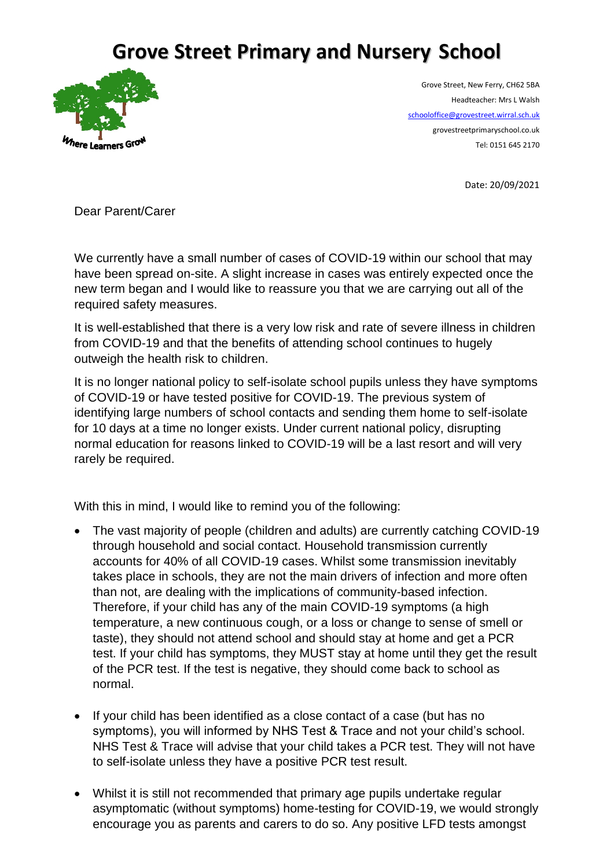## **Grove Street Primary and Nursery School**



Grove Street, New Ferry, CH62 5BA Headteacher: Mrs L Walsh [schooloffice@grovestreet.wirral.sch.uk](mailto:schooloffice@grovestreet.wirral.sch.uk) grovestreetprimaryschool.co.uk Tel: 0151 645 2170

Date: 20/09/2021

Dear Parent/Carer

We currently have a small number of cases of COVID-19 within our school that may have been spread on-site. A slight increase in cases was entirely expected once the new term began and I would like to reassure you that we are carrying out all of the required safety measures.

It is well-established that there is a very low risk and rate of severe illness in children from COVID-19 and that the benefits of attending school continues to hugely outweigh the health risk to children.

It is no longer national policy to self-isolate school pupils unless they have symptoms of COVID-19 or have tested positive for COVID-19. The previous system of identifying large numbers of school contacts and sending them home to self-isolate for 10 days at a time no longer exists. Under current national policy, disrupting normal education for reasons linked to COVID-19 will be a last resort and will very rarely be required.

With this in mind. I would like to remind you of the following:

- The vast majority of people (children and adults) are currently catching COVID-19 through household and social contact. Household transmission currently accounts for 40% of all COVID-19 cases. Whilst some transmission inevitably takes place in schools, they are not the main drivers of infection and more often than not, are dealing with the implications of community-based infection. Therefore, if your child has any of the main COVID-19 symptoms (a high temperature, a new continuous cough, or a loss or change to sense of smell or taste), they should not attend school and should stay at home and get a PCR test. If your child has symptoms, they MUST stay at home until they get the result of the PCR test. If the test is negative, they should come back to school as normal.
- If your child has been identified as a close contact of a case (but has no symptoms), you will informed by NHS Test & Trace and not your child's school. NHS Test & Trace will advise that your child takes a PCR test. They will not have to self-isolate unless they have a positive PCR test result.
- Whilst it is still not recommended that primary age pupils undertake regular asymptomatic (without symptoms) home-testing for COVID-19, we would strongly encourage you as parents and carers to do so. Any positive LFD tests amongst